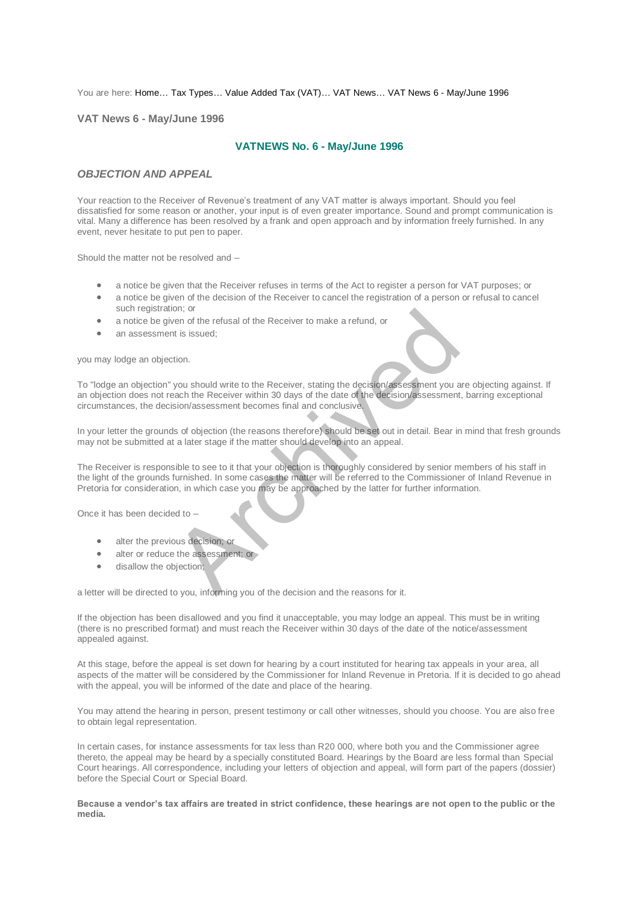#### You are here: [Home…](http://196.38.114.171/home.asp?pid=1) [Tax Types…](http://196.38.114.171/home.asp?pid=161) [Value Added Tax \(VAT\)…](http://196.38.114.171/home.asp?pid=194) [VAT News…](http://196.38.114.171/home.asp?pid=4722) [VAT News 6 - May/June 1996](http://196.38.114.171/home.asp?pid=47308)

#### **VAT News 6 - May/June 1996**

# **VATNEWS No. 6 - May/June 1996**

## *OBJECTION AND APPEAL*

Your reaction to the Receiver of Revenue's treatment of any VAT matter is always important. Should you feel dissatisfied for some reason or another, your input is of even greater importance. Sound and prompt communication is vital. Many a difference has been resolved by a frank and open approach and by information freely furnished. In any event, never hesitate to put pen to paper.

Should the matter not be resolved and –

- a notice be given that the Receiver refuses in terms of the Act to register a person for VAT purposes; or
- a notice be given of the decision of the Receiver to cancel the registration of a person or refusal to cancel such registration; or
- a notice be given of the refusal of the Receiver to make a refund, or
- an assessment is issued;

you may lodge an objection.

To "lodge an objection" you should write to the Receiver, stating the decision/assessment you are objecting against. If an objection does not reach the Receiver within 30 days of the date of the decision/assessment, barring exceptional circumstances, the decision/assessment becomes final and conclusive.

In your letter the grounds of objection (the reasons therefore) should be set out in detail. Bear in mind that fresh grounds may not be submitted at a later stage if the matter should develop into an appeal.

The Receiver is responsible to see to it that your objection is thoroughly considered by senior members of his staff in the light of the grounds furnished. In some cases the matter will be referred to the Commissioner of Inland Revenue in Pretoria for consideration, in which case you may be approached by the latter for further information. of the refusal of the Receiver to make a refund, or<br>the issued;<br>tion.<br>you should write to the Receiver, stating the decision/assessment you a<br>seach the Receiver within 30 days of the date of the decision/assessment<br>sision/

Once it has been decided to –

- alter the previous decision: or
- alter or reduce the assessment; or
- **·** disallow the objection;

a letter will be directed to you, informing you of the decision and the reasons for it.

If the objection has been disallowed and you find it unacceptable, you may lodge an appeal. This must be in writing (there is no prescribed format) and must reach the Receiver within 30 days of the date of the notice/assessment appealed against.

At this stage, before the appeal is set down for hearing by a court instituted for hearing tax appeals in your area, all aspects of the matter will be considered by the Commissioner for Inland Revenue in Pretoria. If it is decided to go ahead with the appeal, you will be informed of the date and place of the hearing.

You may attend the hearing in person, present testimony or call other witnesses, should you choose. You are also free to obtain legal representation.

In certain cases, for instance assessments for tax less than R20 000, where both you and the Commissioner agree thereto, the appeal may be heard by a specially constituted Board. Hearings by the Board are less formal than Special Court hearings. All correspondence, including your letters of objection and appeal, will form part of the papers (dossier) before the Special Court or Special Board.

**Because a vendor's tax affairs are treated in strict confidence, these hearings are not open to the public or the media.**